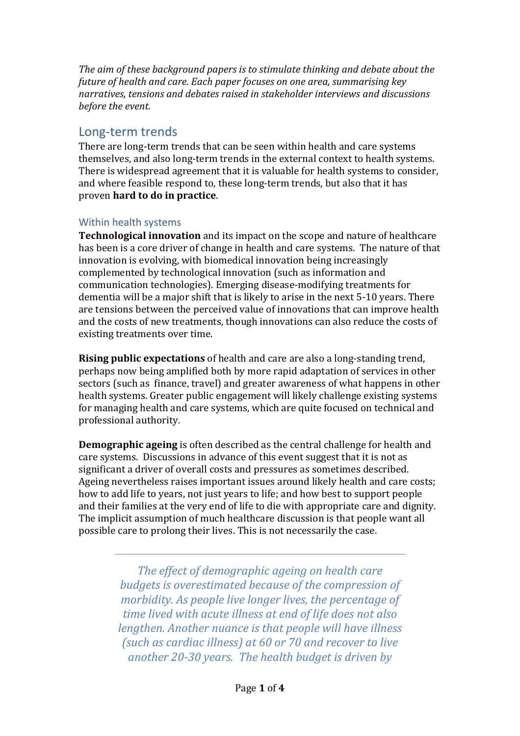*The aim of these background papers is to stimulate thinking and debate about the future of health and care. Each paper focuses on one area, summarising key narratives, tensions and debates raised in stakeholder interviews and discussions before the event.*

## Long-term trends

There are long-term trends that can be seen within health and care systems themselves, and also long-term trends in the external context to health systems. There is widespread agreement that it is valuable for health systems to consider, and where feasible respond to, these long-term trends, but also that it has proven **hard to do in practice**.

### Within health systems

**Technological innovation** and its impact on the scope and nature of healthcare has been is a core driver of change in health and care systems. The nature of that innovation is evolving, with biomedical innovation being increasingly complemented by technological innovation (such as information and communication technologies). Emerging disease-modifying treatments for dementia will be a major shift that is likely to arise in the next 5-10 years. There are tensions between the perceived value of innovations that can improve health and the costs of new treatments, though innovations can also reduce the costs of existing treatments over time.

**Rising public expectations** of health and care are also a long-standing trend, perhaps now being amplified both by more rapid adaptation of services in other sectors (such as finance, travel) and greater awareness of what happens in other health systems. Greater public engagement will likely challenge existing systems for managing health and care systems, which are quite focused on technical and professional authority.

**Demographic ageing** is often described as the central challenge for health and care systems. Discussions in advance of this event suggest that it is not as significant a driver of overall costs and pressures as sometimes described. Ageing nevertheless raises important issues around likely health and care costs; how to add life to years, not just years to life; and how best to support people and their families at the very end of life to die with appropriate care and dignity. The implicit assumption of much healthcare discussion is that people want all possible care to prolong their lives. This is not necessarily the case.

> *The effect of demographic ageing on health care budgets is overestimated because of the compression of morbidity. As people live longer lives, the percentage of time lived with acute illness at end of life does not also lengthen. Another nuance is that people will have illness (such as cardiac illness) at 60 or 70 and recover to live another 20-30 years. The health budget is driven by*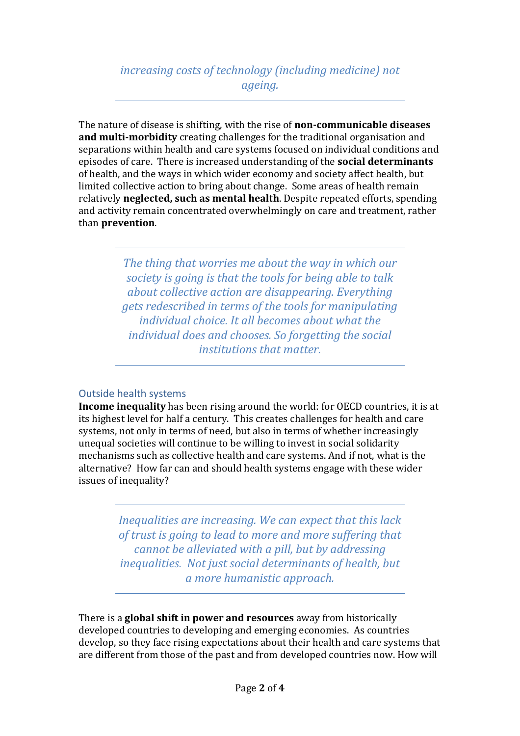# *increasing costs of technology (including medicine) not ageing.*

The nature of disease is shifting, with the rise of **non-communicable diseases and multi-morbidity** creating challenges for the traditional organisation and separations within health and care systems focused on individual conditions and episodes of care. There is increased understanding of the **social determinants** of health, and the ways in which wider economy and society affect health, but limited collective action to bring about change. Some areas of health remain relatively **neglected, such as mental health**. Despite repeated efforts, spending and activity remain concentrated overwhelmingly on care and treatment, rather than **prevention**.

> *The thing that worries me about the way in which our society is going is that the tools for being able to talk about collective action are disappearing. Everything gets redescribed in terms of the tools for manipulating individual choice. It all becomes about what the individual does and chooses. So forgetting the social institutions that matter.*

#### Outside health systems

**Income inequality** has been rising around the world: for OECD countries, it is at its highest level for half a century. This creates challenges for health and care systems, not only in terms of need, but also in terms of whether increasingly unequal societies will continue to be willing to invest in social solidarity mechanisms such as collective health and care systems. And if not, what is the alternative? How far can and should health systems engage with these wider issues of inequality?

> *Inequalities are increasing. We can expect that this lack of trust is going to lead to more and more suffering that cannot be alleviated with a pill, but by addressing inequalities. Not just social determinants of health, but a more humanistic approach.*

There is a **global shift in power and resources** away from historically developed countries to developing and emerging economies. As countries develop, so they face rising expectations about their health and care systems that are different from those of the past and from developed countries now. How will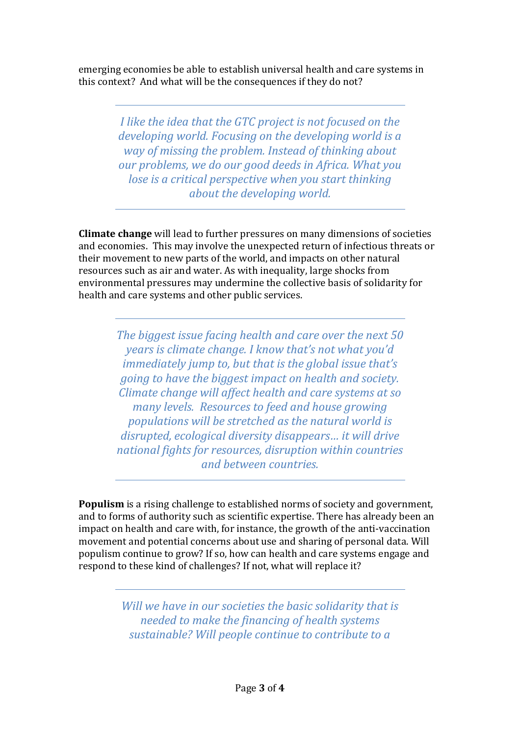emerging economies be able to establish universal health and care systems in this context? And what will be the consequences if they do not?

> *I like the idea that the GTC project is not focused on the developing world. Focusing on the developing world is a way of missing the problem. Instead of thinking about our problems, we do our good deeds in Africa. What you lose is a critical perspective when you start thinking about the developing world.*

**Climate change** will lead to further pressures on many dimensions of societies and economies. This may involve the unexpected return of infectious threats or their movement to new parts of the world, and impacts on other natural resources such as air and water. As with inequality, large shocks from environmental pressures may undermine the collective basis of solidarity for health and care systems and other public services.

> *The biggest issue facing health and care over the next 50 years is climate change. I know that's not what you'd immediately jump to, but that is the global issue that's going to have the biggest impact on health and society. Climate change will affect health and care systems at so many levels. Resources to feed and house growing populations will be stretched as the natural world is disrupted, ecological diversity disappears… it will drive national fights for resources, disruption within countries and between countries.*

**Populism** is a rising challenge to established norms of society and government, and to forms of authority such as scientific expertise. There has already been an impact on health and care with, for instance, the growth of the anti-vaccination movement and potential concerns about use and sharing of personal data. Will populism continue to grow? If so, how can health and care systems engage and respond to these kind of challenges? If not, what will replace it?

> *Will we have in our societies the basic solidarity that is needed to make the financing of health systems sustainable? Will people continue to contribute to a*